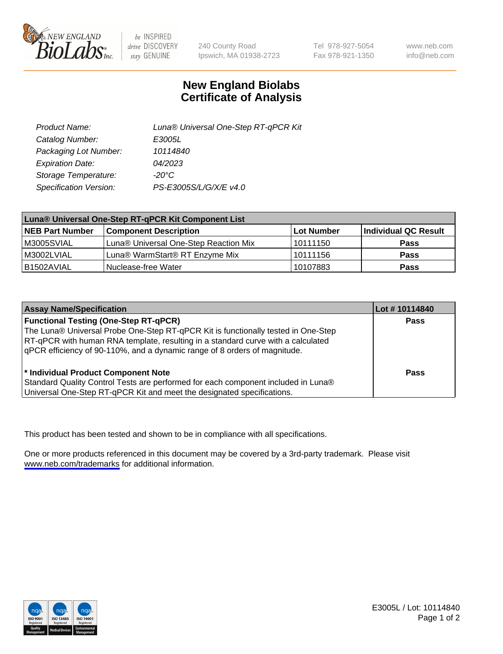

be INSPIRED drive DISCOVERY stay GENUINE

240 County Road Ipswich, MA 01938-2723 Tel 978-927-5054 Fax 978-921-1350

www.neb.com info@neb.com

## **New England Biolabs Certificate of Analysis**

| Product Name:           | Luna® Universal One-Step RT-qPCR Kit |
|-------------------------|--------------------------------------|
| Catalog Number:         | E3005L                               |
| Packaging Lot Number:   | 10114840                             |
| <b>Expiration Date:</b> | 04/2023                              |
| Storage Temperature:    | $-20^{\circ}$ C                      |
| Specification Version:  | PS-E3005S/L/G/X/E v4.0               |

| Luna® Universal One-Step RT-qPCR Kit Component List |                                       |            |                      |  |
|-----------------------------------------------------|---------------------------------------|------------|----------------------|--|
| <b>NEB Part Number</b>                              | <b>Component Description</b>          | Lot Number | Individual QC Result |  |
| M3005SVIAL                                          | Luna® Universal One-Step Reaction Mix | l 10111150 | Pass                 |  |
| M3002LVIAL                                          | Luna® WarmStart® RT Enzyme Mix        | 10111156   | <b>Pass</b>          |  |
| B1502AVIAL                                          | Nuclease-free Water                   | 10107883   | <b>Pass</b>          |  |

| <b>Assay Name/Specification</b>                                                                                                                                                                                                                                                                    | Lot #10114840 |
|----------------------------------------------------------------------------------------------------------------------------------------------------------------------------------------------------------------------------------------------------------------------------------------------------|---------------|
| <b>Functional Testing (One-Step RT-qPCR)</b><br>The Luna® Universal Probe One-Step RT-qPCR Kit is functionally tested in One-Step<br>RT-qPCR with human RNA template, resulting in a standard curve with a calculated<br>qPCR efficiency of 90-110%, and a dynamic range of 8 orders of magnitude. | <b>Pass</b>   |
| * Individual Product Component Note<br>Standard Quality Control Tests are performed for each component included in Luna®<br>Universal One-Step RT-qPCR Kit and meet the designated specifications.                                                                                                 | Pass          |

This product has been tested and shown to be in compliance with all specifications.

One or more products referenced in this document may be covered by a 3rd-party trademark. Please visit <www.neb.com/trademarks>for additional information.